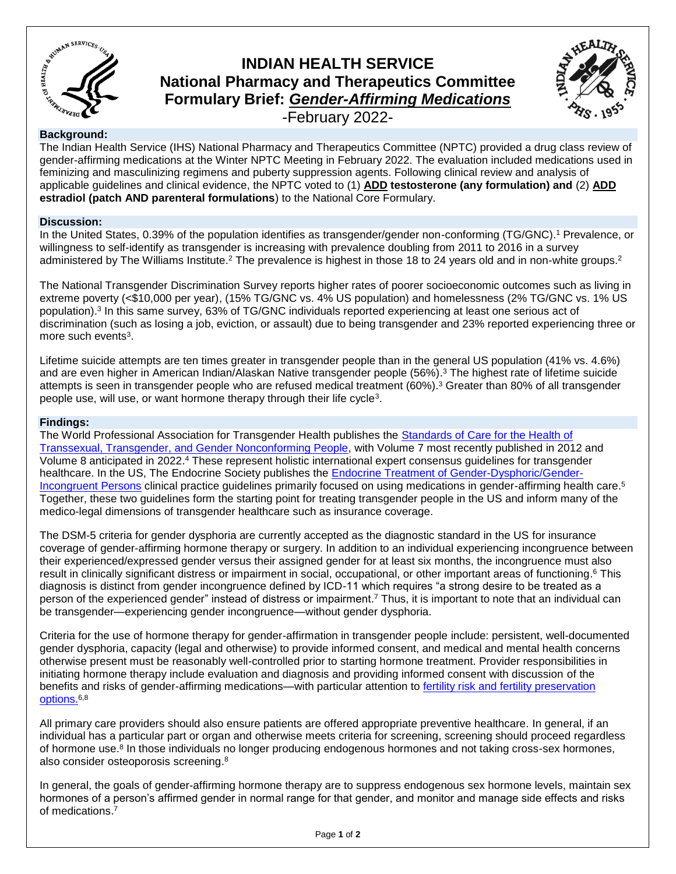

# **INDIAN HEALTH SERVICE National Pharmacy and Therapeutics Committee Formulary Brief:** *Gender-Affirming Medications*



-February 2022-

## **Background:**

The Indian Health Service (IHS) National Pharmacy and Therapeutics Committee (NPTC) provided a drug class review of gender-affirming medications at the Winter NPTC Meeting in February 2022. The evaluation included medications used in feminizing and masculinizing regimens and puberty suppression agents. Following clinical review and analysis of applicable guidelines and clinical evidence, the NPTC voted to (1) **ADD testosterone (any formulation) and** (2) **ADD estradiol (patch AND parenteral formulations**) to the National Core Formulary.

## **Discussion:**

In the United States, 0.39% of the population identifies as transgender/gender non-conforming (TG/GNC). <sup>1</sup> Prevalence, or willingness to self-identify as transgender is increasing with prevalence doubling from 2011 to 2016 in a survey administered by The Williams Institute.<sup>2</sup> The prevalence is highest in those 18 to 24 years old and in non-white groups.<sup>2</sup>

The National Transgender Discrimination Survey reports higher rates of poorer socioeconomic outcomes such as living in extreme poverty (<\$10,000 per year), (15% TG/GNC vs. 4% US population) and homelessness (2% TG/GNC vs. 1% US population).<sup>3</sup> In this same survey, 63% of TG/GNC individuals reported experiencing at least one serious act of discrimination (such as losing a job, eviction, or assault) due to being transgender and 23% reported experiencing three or more such events<sup>3</sup>.

Lifetime suicide attempts are ten times greater in transgender people than in the general US population (41% vs. 4.6%) and are even higher in American Indian/Alaskan Native transgender people (56%). <sup>3</sup> The highest rate of lifetime suicide attempts is seen in transgender people who are refused medical treatment (60%). <sup>3</sup> Greater than 80% of all transgender people use, will use, or want hormone therapy through their life cycle<sup>3</sup>.

### **Findings:**

The World Professional Association for Transgender Health publishes the [Standards of Care for the Health of](https://wpath.org/publications/soc)  [Transsexual, Transgender, and Gender Nonconforming People,](https://wpath.org/publications/soc) with Volume 7 most recently published in 2012 and Volume 8 anticipated in 2022. <sup>4</sup> These represent holistic international expert consensus guidelines for transgender healthcare. In the US, The Endocrine Society publishes the **[Endocrine Treatment of Gender-Dysphoric/Gender-](https://academic.oup.com/jcem/article/102/11/3869/4157558?login=false)**[Incongruent Persons](https://academic.oup.com/jcem/article/102/11/3869/4157558?login=false) clinical practice guidelines primarily focused on using medications in gender-affirming health care.<sup>5</sup> Together, these two guidelines form the starting point for treating transgender people in the US and inform many of the medico-legal dimensions of transgender healthcare such as insurance coverage.

The DSM-5 criteria for gender dysphoria are currently accepted as the diagnostic standard in the US for insurance coverage of gender-affirming hormone therapy or surgery. In addition to an individual experiencing incongruence between their experienced/expressed gender versus their assigned gender for at least six months, the incongruence must also result in clinically significant distress or impairment in social, occupational, or other important areas of functioning.<sup>6</sup> This diagnosis is distinct from gender incongruence defined by ICD-11 which requires "a strong desire to be treated as a person of the experienced gender" instead of distress or impairment. <sup>7</sup> Thus, it is important to note that an individual can be transgender—experiencing gender incongruence—without gender dysphoria.

Criteria for the use of hormone therapy for gender-affirmation in transgender people include: persistent, well-documented gender dysphoria, capacity (legal and otherwise) to provide informed consent, and medical and mental health concerns otherwise present must be reasonably well-controlled prior to starting hormone treatment. Provider responsibilities in initiating hormone therapy include evaluation and diagnosis and providing informed consent with discussion of the benefits and risks of gender-affirming medications—with particular attention to [fertility risk and fertility preservation](https://transcare.ucsf.edu/guidelines/fertility)  [options.](https://transcare.ucsf.edu/guidelines/fertility)<sup>6,8</sup>

All primary care providers should also ensure patients are offered appropriate preventive healthcare. In general, if an individual has a particular part or organ and otherwise meets criteria for screening, screening should proceed regardless of hormone use.<sup>8</sup> In those individuals no longer producing endogenous hormones and not taking cross-sex hormones, also consider osteoporosis screening. 8

In general, the goals of gender-affirming hormone therapy are to suppress endogenous sex hormone levels, maintain sex hormones of a person's affirmed gender in normal range for that gender, and monitor and manage side effects and risks of medications. 7